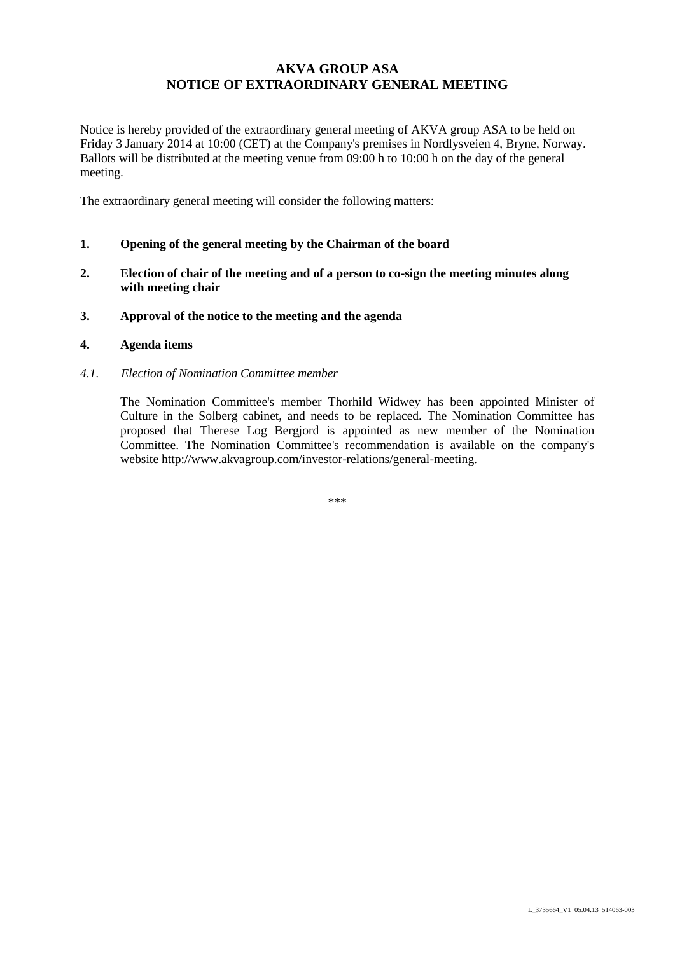# **AKVA GROUP ASA NOTICE OF EXTRAORDINARY GENERAL MEETING**

Notice is hereby provided of the extraordinary general meeting of AKVA group ASA to be held on Friday 3 January 2014 at 10:00 (CET) at the Company's premises in Nordlysveien 4, Bryne, Norway. Ballots will be distributed at the meeting venue from 09:00 h to 10:00 h on the day of the general meeting.

The extraordinary general meeting will consider the following matters:

- **1. Opening of the general meeting by the Chairman of the board**
- **2. Election of chair of the meeting and of a person to co-sign the meeting minutes along with meeting chair**
- **3. Approval of the notice to the meeting and the agenda**
- **4. Agenda items**
- *4.1. Election of Nomination Committee member*

The Nomination Committee's member Thorhild Widwey has been appointed Minister of Culture in the Solberg cabinet, and needs to be replaced. The Nomination Committee has proposed that Therese Log Bergjord is appointed as new member of the Nomination Committee. The Nomination Committee's recommendation is available on the company's website http://www.akvagroup.com/investor-relations/general-meeting.

\*\*\*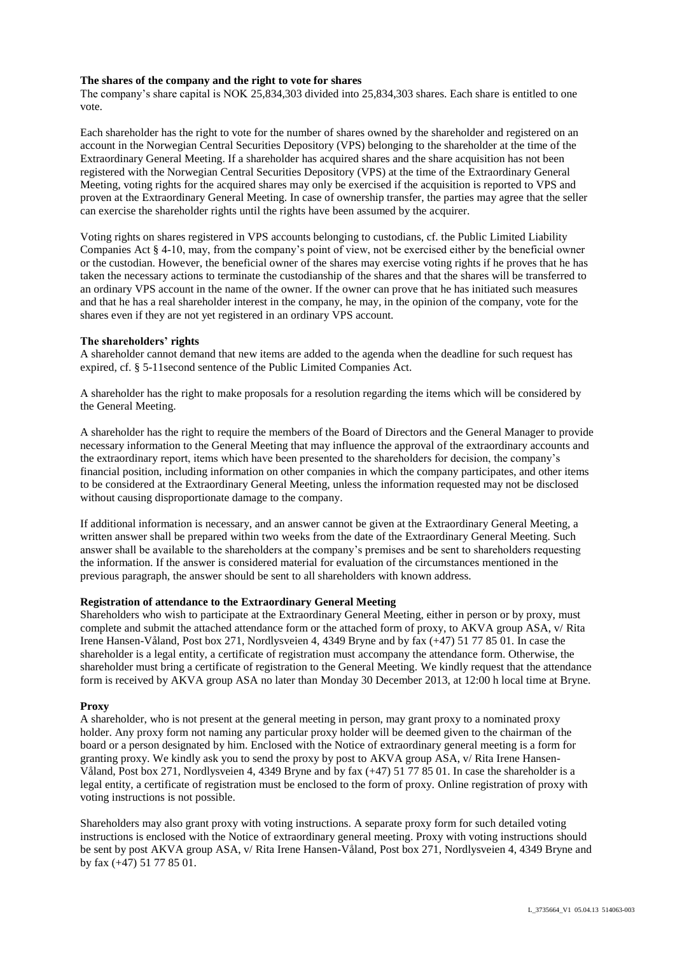### **The shares of the company and the right to vote for shares**

The company's share capital is NOK 25,834,303 divided into 25,834,303 shares. Each share is entitled to one vote.

Each shareholder has the right to vote for the number of shares owned by the shareholder and registered on an account in the Norwegian Central Securities Depository (VPS) belonging to the shareholder at the time of the Extraordinary General Meeting. If a shareholder has acquired shares and the share acquisition has not been registered with the Norwegian Central Securities Depository (VPS) at the time of the Extraordinary General Meeting, voting rights for the acquired shares may only be exercised if the acquisition is reported to VPS and proven at the Extraordinary General Meeting. In case of ownership transfer, the parties may agree that the seller can exercise the shareholder rights until the rights have been assumed by the acquirer.

Voting rights on shares registered in VPS accounts belonging to custodians, cf. the Public Limited Liability Companies Act § 4-10, may, from the company's point of view, not be exercised either by the beneficial owner or the custodian. However, the beneficial owner of the shares may exercise voting rights if he proves that he has taken the necessary actions to terminate the custodianship of the shares and that the shares will be transferred to an ordinary VPS account in the name of the owner. If the owner can prove that he has initiated such measures and that he has a real shareholder interest in the company, he may, in the opinion of the company, vote for the shares even if they are not yet registered in an ordinary VPS account.

# **The shareholders' rights**

A shareholder cannot demand that new items are added to the agenda when the deadline for such request has expired, cf. § 5-11second sentence of the Public Limited Companies Act.

A shareholder has the right to make proposals for a resolution regarding the items which will be considered by the General Meeting.

A shareholder has the right to require the members of the Board of Directors and the General Manager to provide necessary information to the General Meeting that may influence the approval of the extraordinary accounts and the extraordinary report, items which have been presented to the shareholders for decision, the company's financial position, including information on other companies in which the company participates, and other items to be considered at the Extraordinary General Meeting, unless the information requested may not be disclosed without causing disproportionate damage to the company.

If additional information is necessary, and an answer cannot be given at the Extraordinary General Meeting, a written answer shall be prepared within two weeks from the date of the Extraordinary General Meeting. Such answer shall be available to the shareholders at the company's premises and be sent to shareholders requesting the information. If the answer is considered material for evaluation of the circumstances mentioned in the previous paragraph, the answer should be sent to all shareholders with known address.

#### **Registration of attendance to the Extraordinary General Meeting**

Shareholders who wish to participate at the Extraordinary General Meeting, either in person or by proxy, must complete and submit the attached attendance form or the attached form of proxy, to AKVA group ASA, v/ Rita Irene Hansen-Våland, Post box 271, Nordlysveien 4, 4349 Bryne and by fax (+47) 51 77 85 01. In case the shareholder is a legal entity, a certificate of registration must accompany the attendance form. Otherwise, the shareholder must bring a certificate of registration to the General Meeting. We kindly request that the attendance form is received by AKVA group ASA no later than Monday 30 December 2013, at 12:00 h local time at Bryne.

# **Proxy**

A shareholder, who is not present at the general meeting in person, may grant proxy to a nominated proxy holder. Any proxy form not naming any particular proxy holder will be deemed given to the chairman of the board or a person designated by him. Enclosed with the Notice of extraordinary general meeting is a form for granting proxy. We kindly ask you to send the proxy by post to AKVA group ASA, v/ Rita Irene Hansen-Våland, Post box 271, Nordlysveien 4, 4349 Bryne and by fax (+47) 51 77 85 01. In case the shareholder is a legal entity, a certificate of registration must be enclosed to the form of proxy. Online registration of proxy with voting instructions is not possible.

Shareholders may also grant proxy with voting instructions. A separate proxy form for such detailed voting instructions is enclosed with the Notice of extraordinary general meeting. Proxy with voting instructions should be sent by post AKVA group ASA, v/ Rita Irene Hansen-Våland, Post box 271, Nordlysveien 4, 4349 Bryne and by fax (+47) 51 77 85 01.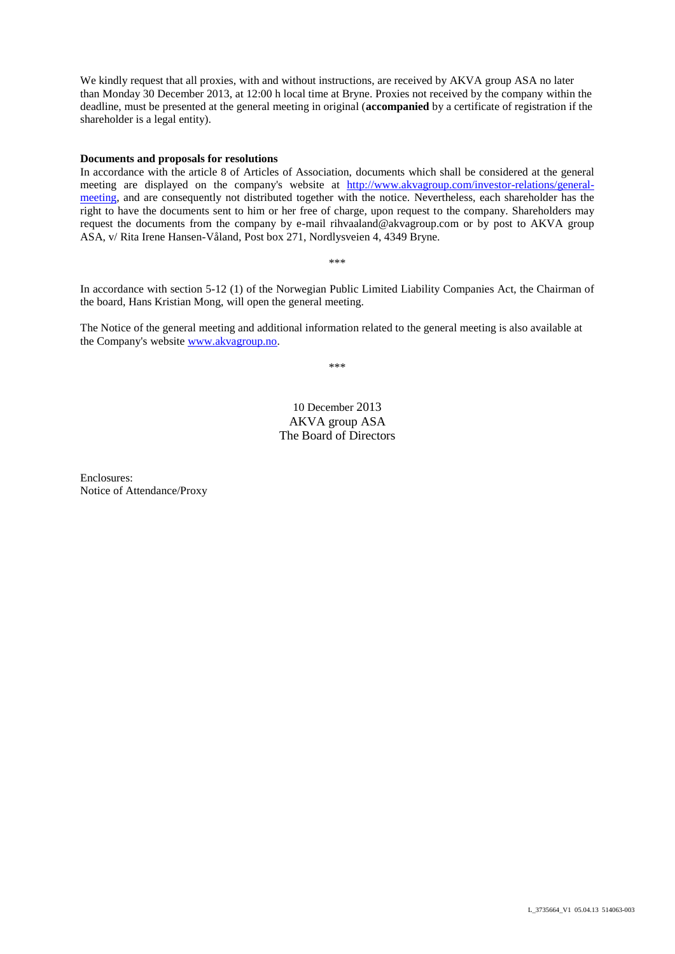We kindly request that all proxies, with and without instructions, are received by AKVA group ASA no later than Monday 30 December 2013, at 12:00 h local time at Bryne. Proxies not received by the company within the deadline, must be presented at the general meeting in original (**accompanied** by a certificate of registration if the shareholder is a legal entity).

#### **Documents and proposals for resolutions**

In accordance with the article 8 of Articles of Association, documents which shall be considered at the general meeting are displayed on the company's website at [http://www.akvagroup.com/investor-relations/general](http://www.akvagroup.com/investor-relations/general-meeting)[meeting,](http://www.akvagroup.com/investor-relations/general-meeting) and are consequently not distributed together with the notice. Nevertheless, each shareholder has the right to have the documents sent to him or her free of charge, upon request to the company. Shareholders may request the documents from the company by e-mail rihvaaland@akvagroup.com or by post to AKVA group ASA, v/ Rita Irene Hansen-Våland, Post box 271, Nordlysveien 4, 4349 Bryne.

\*\*\*

In accordance with section 5-12 (1) of the Norwegian Public Limited Liability Companies Act, the Chairman of the board, Hans Kristian Mong, will open the general meeting.

The Notice of the general meeting and additional information related to the general meeting is also available at the Company's website [www.akvagroup.no.](http://www.akvagroup.no/)

\*\*\*

# 10 December 2013 AKVA group ASA The Board of Directors

Enclosures: Notice of Attendance/Proxy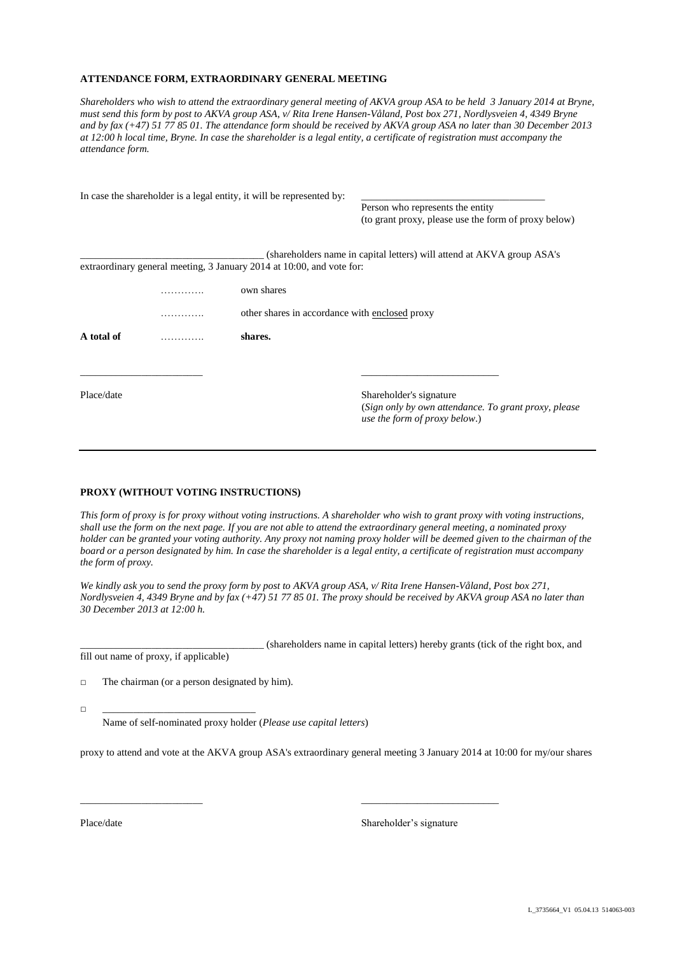#### **ATTENDANCE FORM, EXTRAORDINARY GENERAL MEETING**

*Shareholders who wish to attend the extraordinary general meeting of AKVA group ASA to be held 3 January 2014 at Bryne, must send this form by post to AKVA group ASA*, *v/ Rita Irene Hansen-Våland, Post box 271, Nordlysveien 4, 4349 Bryne and by fax (+47) 51 77 85 01. The attendance form should be received by AKVA group ASA no later than 30 December 2013 at 12:00 h local time, Bryne. In case the shareholder is a legal entity, a certificate of registration must accompany the attendance form.*

|            | In case the shareholder is a legal entity, it will be represented by: |                                                                                        |
|------------|-----------------------------------------------------------------------|----------------------------------------------------------------------------------------|
|            |                                                                       | Person who represents the entity                                                       |
|            |                                                                       | (to grant proxy, please use the form of proxy below)                                   |
|            |                                                                       | (shareholders name in capital letters) will attend at AKVA group ASA's                 |
|            | extraordinary general meeting, 3 January 2014 at 10:00, and vote for: |                                                                                        |
|            | own shares                                                            |                                                                                        |
|            | other shares in accordance with enclosed proxy                        |                                                                                        |
| A total of | shares.                                                               |                                                                                        |
|            |                                                                       |                                                                                        |
| Place/date |                                                                       | Shareholder's signature                                                                |
|            |                                                                       | (Sign only by own attendance. To grant proxy, please)<br>use the form of proxy below.) |
|            |                                                                       |                                                                                        |

#### **PROXY (WITHOUT VOTING INSTRUCTIONS)**

*This form of proxy is for proxy without voting instructions. A shareholder who wish to grant proxy with voting instructions, shall use the form on the next page. If you are not able to attend the extraordinary general meeting, a nominated proxy holder can be granted your voting authority. Any proxy not naming proxy holder will be deemed given to the chairman of the board or a person designated by him. In case the shareholder is a legal entity, a certificate of registration must accompany the form of proxy.*

*We kindly ask you to send the proxy form by post to AKVA group ASA, v/ Rita Irene Hansen-Våland, Post box 271, Nordlysveien 4, 4349 Bryne and by fax (+47) 51 77 85 01. The proxy should be received by AKVA group ASA no later than 30 December 2013 at 12:00 h.*

\_\_\_\_\_\_\_\_\_\_\_\_\_\_\_\_\_\_\_\_\_\_\_\_\_\_\_\_\_\_\_\_\_\_\_\_ (shareholders name in capital letters) hereby grants (tick of the right box, and fill out name of proxy, if applicable)

□ The chairman (or a person designated by him).

□ \_\_\_\_\_\_\_\_\_\_\_\_\_\_\_\_\_\_\_\_\_\_\_\_\_\_\_\_\_\_

Name of self-nominated proxy holder (*Please use capital letters*)

proxy to attend and vote at the AKVA group ASA's extraordinary general meeting 3 January 2014 at 10:00 for my/our shares

\_\_\_\_\_\_\_\_\_\_\_\_\_\_\_\_\_\_\_\_\_\_\_\_ \_\_\_\_\_\_\_\_\_\_\_\_\_\_\_\_\_\_\_\_\_\_\_\_\_\_\_

Place/date Shareholder's signature